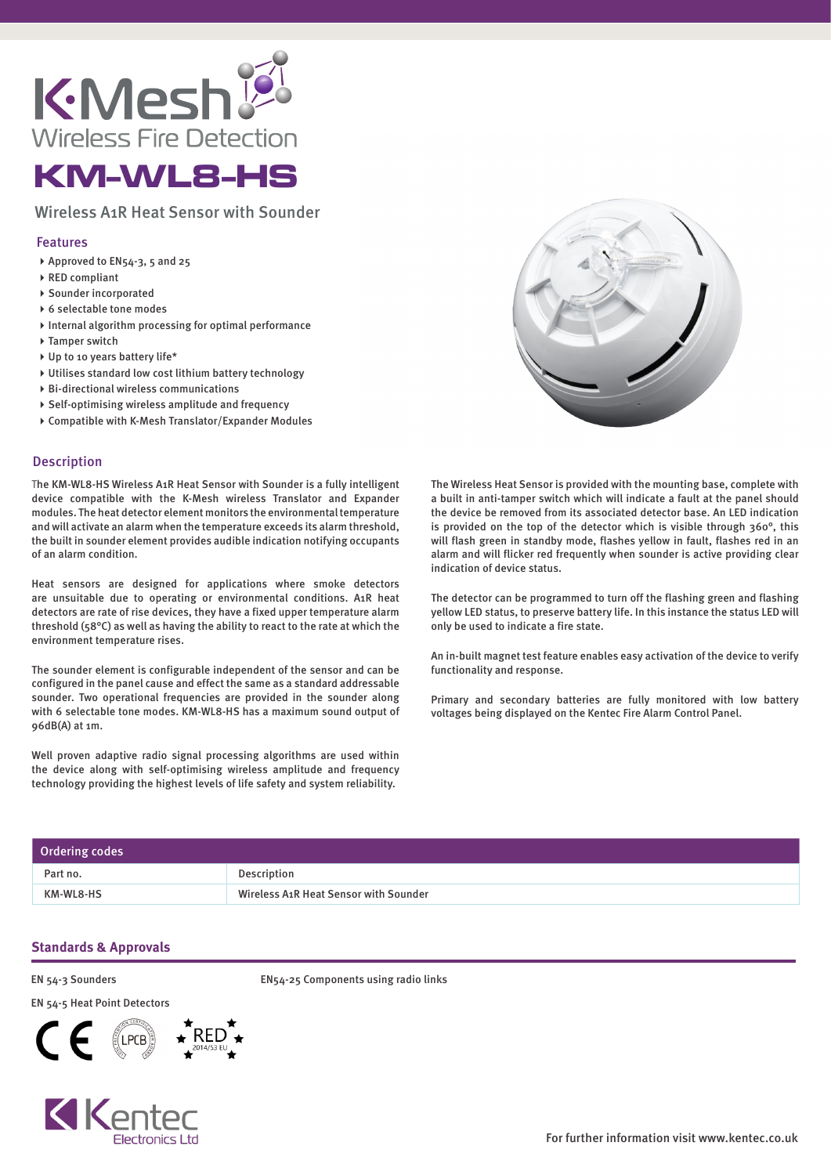

## KM-WL8-HS

Wireless A1R Heat Sensor with Sounder

## Features

- ▶ Approved to EN54-3, 5 and 25
- ▶ RED compliant
- Sounder incorporated
- ▶ 6 selectable tone modes
- $\blacktriangleright$  Internal algorithm processing for optimal performance
- ▶ Tamper switch
- ▶ Up to 10 years battery life\*
- Utilises standard low cost lithium battery technology
- Bi-directional wireless communications
- Self-optimising wireless amplitude and frequency
- Compatible with K-Mesh Translator/Expander Modules

## **Description**

The KM-WL8-HS Wireless A1R Heat Sensor with Sounder is a fully intelligent device compatible with the K-Mesh wireless Translator and Expander modules. The heat detector element monitors the environmental temperature and will activate an alarm when the temperature exceeds its alarm threshold, the built in sounder element provides audible indication notifying occupants of an alarm condition.

Heat sensors are designed for applications where smoke detectors are unsuitable due to operating or environmental conditions. A1R heat detectors are rate of rise devices, they have a fixed upper temperature alarm threshold (58°C) as well as having the ability to react to the rate at which the environment temperature rises.

The sounder element is configurable independent of the sensor and can be configured in the panel cause and effect the same as a standard addressable sounder. Two operational frequencies are provided in the sounder along with 6 selectable tone modes. KM-WL8-HS has a maximum sound output of 96dB(A) at 1m.

Well proven adaptive radio signal processing algorithms are used within the device along with self-optimising wireless amplitude and frequency technology providing the highest levels of life safety and system reliability.



The Wireless Heat Sensor is provided with the mounting base, complete with a built in anti-tamper switch which will indicate a fault at the panel should the device be removed from its associated detector base. An LED indication is provided on the top of the detector which is visible through 360°, this will flash green in standby mode, flashes yellow in fault, flashes red in an alarm and will flicker red frequently when sounder is active providing clear indication of device status.

The detector can be programmed to turn off the flashing green and flashing yellow LED status, to preserve battery life. In this instance the status LED will only be used to indicate a fire state.

An in-built magnet test feature enables easy activation of the device to verify functionality and response.

Primary and secondary batteries are fully monitored with low battery voltages being displayed on the Kentec Fire Alarm Control Panel.

| Ordering codes |                                       |
|----------------|---------------------------------------|
| Part no.       | Description                           |
| KM-WL8-HS      | Wireless A1R Heat Sensor with Sounder |

## **Standards & Approvals**

EN 54-3 Sounders

EN 54-5 Heat Point Detectors





EN54-25 Components using radio links